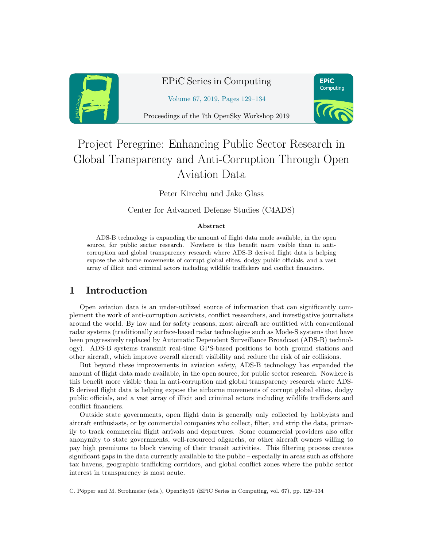

## EPiC Series in Computing

**EPiC** Computing

Volume 67, 2019, Pages 129–134

Proceedings of the 7th OpenSky Workshop 2019

# Project Peregrine: Enhancing Public Sector Research in Global Transparency and Anti-Corruption Through Open Aviation Data

Peter Kirechu and Jake Glass

Center for Advanced Defense Studies (C4ADS)

#### Abstract

ADS-B technology is expanding the amount of flight data made available, in the open source, for public sector research. Nowhere is this benefit more visible than in anticorruption and global transparency research where ADS-B derived flight data is helping expose the airborne movements of corrupt global elites, dodgy public officials, and a vast array of illicit and criminal actors including wildlife traffickers and conflict financiers.

### 1 Introduction

Open aviation data is an under-utilized source of information that can significantly complement the work of anti-corruption activists, conflict researchers, and investigative journalists around the world. By law and for safety reasons, most aircraft are outfitted with conventional radar systems (traditionally surface-based radar technologies such as Mode-S systems that have been progressively replaced by Automatic Dependent Surveillance Broadcast (ADS-B) technology). ADS-B systems transmit real-time GPS-based positions to both ground stations and other aircraft, which improve overall aircraft visibility and reduce the risk of air collisions.

But beyond these improvements in aviation safety, ADS-B technology has expanded the amount of flight data made available, in the open source, for public sector research. Nowhere is this benefit more visible than in anti-corruption and global transparency research where ADS-B derived flight data is helping expose the airborne movements of corrupt global elites, dodgy public officials, and a vast array of illicit and criminal actors including wildlife traffickers and conflict financiers.

Outside state governments, open flight data is generally only collected by hobbyists and aircraft enthusiasts, or by commercial companies who collect, filter, and strip the data, primarily to track commercial flight arrivals and departures. Some commercial providers also offer anonymity to state governments, well-resourced oligarchs, or other aircraft owners willing to pay high premiums to block viewing of their transit activities. This filtering process creates significant gaps in the data currently available to the public – especially in areas such as offshore tax havens, geographic trafficking corridors, and global conflict zones where the public sector interest in transparency is most acute.

C. Pöpper and M. Strohmeier (eds.), OpenSky19 (EPiC Series in Computing, vol. 67), pp. 129–134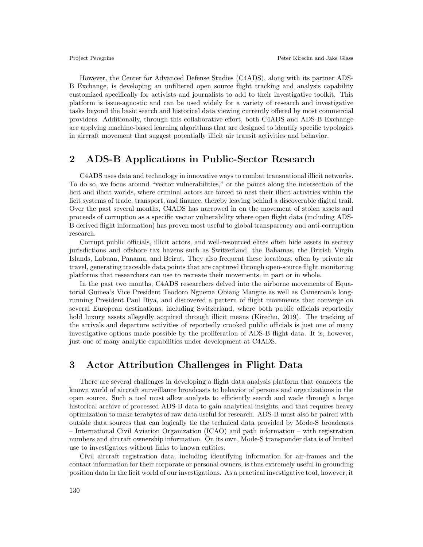However, the Center for Advanced Defense Studies (C4ADS), along with its partner ADS-B Exchange, is developing an unfiltered open source flight tracking and analysis capability customized specifically for activists and journalists to add to their investigative toolkit. This platform is issue-agnostic and can be used widely for a variety of research and investigative tasks beyond the basic search and historical data viewing currently offered by most commercial providers. Additionally, through this collaborative effort, both C4ADS and ADS-B Exchange are applying machine-based learning algorithms that are designed to identify specific typologies in aircraft movement that suggest potentially illicit air transit activities and behavior.

#### 2 ADS-B Applications in Public-Sector Research

C4ADS uses data and technology in innovative ways to combat transnational illicit networks. To do so, we focus around "vector vulnerabilities," or the points along the intersection of the licit and illicit worlds, where criminal actors are forced to nest their illicit activities within the licit systems of trade, transport, and finance, thereby leaving behind a discoverable digital trail. Over the past several months, C4ADS has narrowed in on the movement of stolen assets and proceeds of corruption as a specific vector vulnerability where open flight data (including ADS-B derived flight information) has proven most useful to global transparency and anti-corruption research.

Corrupt public officials, illicit actors, and well-resourced elites often hide assets in secrecy jurisdictions and offshore tax havens such as Switzerland, the Bahamas, the British Virgin Islands, Labuan, Panama, and Beirut. They also frequent these locations, often by private air travel, generating traceable data points that are captured through open-source flight monitoring platforms that researchers can use to recreate their movements, in part or in whole.

In the past two months, C4ADS researchers delved into the airborne movements of Equatorial Guinea's Vice President Teodoro Nguema Obiang Mangue as well as Cameroon's longrunning President Paul Biya, and discovered a pattern of flight movements that converge on several European destinations, including Switzerland, where both public officials reportedly hold luxury assets allegedly acquired through illicit means (Kirechu, 2019). The tracking of the arrivals and departure activities of reportedly crooked public officials is just one of many investigative options made possible by the proliferation of ADS-B flight data. It is, however, just one of many analytic capabilities under development at C4ADS.

#### 3 Actor Attribution Challenges in Flight Data

There are several challenges in developing a flight data analysis platform that connects the known world of aircraft surveillance broadcasts to behavior of persons and organizations in the open source. Such a tool must allow analysts to efficiently search and wade through a large historical archive of processed ADS-B data to gain analytical insights, and that requires heavy optimization to make terabytes of raw data useful for research. ADS-B must also be paired with outside data sources that can logically tie the technical data provided by Mode-S broadcasts – International Civil Aviation Organization (ICAO) and path information – with registration numbers and aircraft ownership information. On its own, Mode-S transponder data is of limited use to investigators without links to known entities.

Civil aircraft registration data, including identifying information for air-frames and the contact information for their corporate or personal owners, is thus extremely useful in grounding position data in the licit world of our investigations. As a practical investigative tool, however, it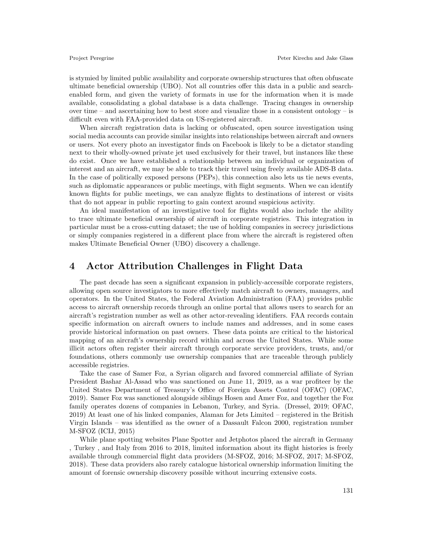is stymied by limited public availability and corporate ownership structures that often obfuscate ultimate beneficial ownership (UBO). Not all countries offer this data in a public and searchenabled form, and given the variety of formats in use for the information when it is made available, consolidating a global database is a data challenge. Tracing changes in ownership over time – and ascertaining how to best store and visualize those in a consistent ontology – is difficult even with FAA-provided data on US-registered aircraft.

When aircraft registration data is lacking or obfuscated, open source investigation using social media accounts can provide similar insights into relationships between aircraft and owners or users. Not every photo an investigator finds on Facebook is likely to be a dictator standing next to their wholly-owned private jet used exclusively for their travel, but instances like these do exist. Once we have established a relationship between an individual or organization of interest and an aircraft, we may be able to track their travel using freely available ADS-B data. In the case of politically exposed persons (PEPs), this connection also lets us tie news events, such as diplomatic appearances or public meetings, with flight segments. When we can identify known flights for public meetings, we can analyze flights to destinations of interest or visits that do not appear in public reporting to gain context around suspicious activity.

An ideal manifestation of an investigative tool for flights would also include the ability to trace ultimate beneficial ownership of aircraft in corporate registries. This integration in particular must be a cross-cutting dataset; the use of holding companies in secrecy jurisdictions or simply companies registered in a different place from where the aircraft is registered often makes Ultimate Beneficial Owner (UBO) discovery a challenge.

#### 4 Actor Attribution Challenges in Flight Data

The past decade has seen a significant expansion in publicly-accessible corporate registers, allowing open source investigators to more effectively match aircraft to owners, managers, and operators. In the United States, the Federal Aviation Administration (FAA) provides public access to aircraft ownership records through an online portal that allows users to search for an aircraft's registration number as well as other actor-revealing identifiers. FAA records contain specific information on aircraft owners to include names and addresses, and in some cases provide historical information on past owners. These data points are critical to the historical mapping of an aircraft's ownership record within and across the United States. While some illicit actors often register their aircraft through corporate service providers, trusts, and/or foundations, others commonly use ownership companies that are traceable through publicly accessible registries.

Take the case of Samer Foz, a Syrian oligarch and favored commercial affiliate of Syrian President Bashar Al-Assad who was sanctioned on June 11, 2019, as a war profiteer by the United States Department of Treasury's Office of Foreign Assets Control (OFAC) (OFAC, 2019). Samer Foz was sanctioned alongside siblings Hosen and Amer Foz, and together the Foz family operates dozens of companies in Lebanon, Turkey, and Syria. (Dressel, 2019; OFAC, 2019) At least one of his linked companies, Alaman for Jets Limited – registered in the British Virgin Islands – was identified as the owner of a Dassault Falcon 2000, registration number M-SFOZ (ICIJ, 2015)

While plane spotting websites Plane Spotter and Jetphotos placed the aircraft in Germany , Turkey , and Italy from 2016 to 2018, limited information about its flight histories is freely available through commercial flight data providers (M-SFOZ, 2016; M-SFOZ, 2017; M-SFOZ, 2018). These data providers also rarely catalogue historical ownership information limiting the amount of forensic ownership discovery possible without incurring extensive costs.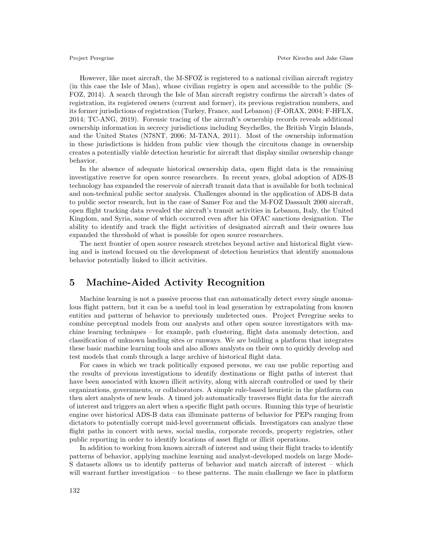However, like most aircraft, the M-SFOZ is registered to a national civilian aircraft registry (in this case the Isle of Man), whose civilian registry is open and accessible to the public (S-FOZ, 2014). A search through the Isle of Man aircraft registry confirms the aircraft's dates of registration, its registered owners (current and former), its previous registration numbers, and its former jurisdictions of registration (Turkey, France, and Lebanon) (F-ORAX, 2004; F-HFLX, 2014; TC-ANG, 2019). Forensic tracing of the aircraft's ownership records reveals additional ownership information in secrecy jurisdictions including Seychelles, the British Virgin Islands, and the United States (N78NT, 2006; M-TANA, 2011). Most of the ownership information in these jurisdictions is hidden from public view though the circuitous change in ownership creates a potentially viable detection heuristic for aircraft that display similar ownership change behavior.

In the absence of adequate historical ownership data, open flight data is the remaining investigative reserve for open source researchers. In recent years, global adoption of ADS-B technology has expanded the reservoir of aircraft transit data that is available for both technical and non-technical public sector analysis. Challenges abound in the application of ADS-B data to public sector research, but in the case of Samer Foz and the M-FOZ Dassault 2000 aircraft, open flight tracking data revealed the aircraft's transit activities in Lebanon, Italy, the United Kingdom, and Syria, some of which occurred even after his OFAC sanctions designation. The ability to identify and track the flight activities of designated aircraft and their owners has expanded the threshold of what is possible for open source researchers.

The next frontier of open source research stretches beyond active and historical flight viewing and is instead focused on the development of detection heuristics that identify anomalous behavior potentially linked to illicit activities.

#### 5 Machine-Aided Activity Recognition

Machine learning is not a passive process that can automatically detect every single anomalous flight pattern, but it can be a useful tool in lead generation by extrapolating from known entities and patterns of behavior to previously undetected ones. Project Peregrine seeks to combine perceptual models from our analysts and other open source investigators with machine learning techniques – for example, path clustering, flight data anomaly detection, and classification of unknown landing sites or runways. We are building a platform that integrates these basic machine learning tools and also allows analysts on their own to quickly develop and test models that comb through a large archive of historical flight data.

For cases in which we track politically exposed persons, we can use public reporting and the results of previous investigations to identify destinations or flight paths of interest that have been associated with known illicit activity, along with aircraft controlled or used by their organizations, governments, or collaborators. A simple rule-based heuristic in the platform can then alert analysts of new leads. A timed job automatically traverses flight data for the aircraft of interest and triggers an alert when a specific flight path occurs. Running this type of heuristic engine over historical ADS-B data can illuminate patterns of behavior for PEPs ranging from dictators to potentially corrupt mid-level government officials. Investigators can analyze these flight paths in concert with news, social media, corporate records, property registries, other public reporting in order to identify locations of asset flight or illicit operations.

In addition to working from known aircraft of interest and using their flight tracks to identify patterns of behavior, applying machine learning and analyst-developed models on large Mode-S datasets allows us to identify patterns of behavior and match aircraft of interest – which will warrant further investigation – to these patterns. The main challenge we face in platform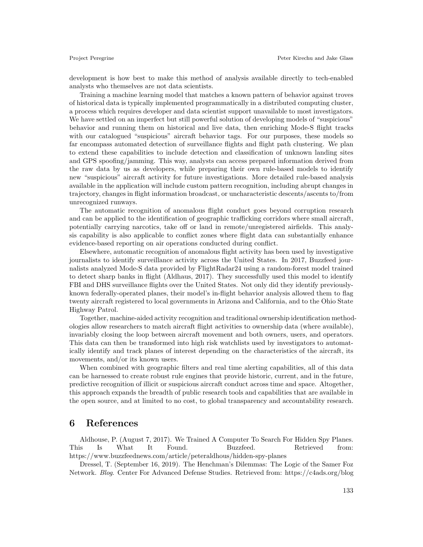development is how best to make this method of analysis available directly to tech-enabled analysts who themselves are not data scientists.

Training a machine learning model that matches a known pattern of behavior against troves of historical data is typically implemented programmatically in a distributed computing cluster, a process which requires developer and data scientist support unavailable to most investigators. We have settled on an imperfect but still powerful solution of developing models of "suspicious" behavior and running them on historical and live data, then enriching Mode-S flight tracks with our catalogued "suspicious" aircraft behavior tags. For our purposes, these models so far encompass automated detection of surveillance flights and flight path clustering. We plan to extend these capabilities to include detection and classification of unknown landing sites and GPS spoofing/jamming. This way, analysts can access prepared information derived from the raw data by us as developers, while preparing their own rule-based models to identify new "suspicious" aircraft activity for future investigations. More detailed rule-based analysis available in the application will include custom pattern recognition, including abrupt changes in trajectory, changes in flight information broadcast, or uncharacteristic descents/ascents to/from unrecognized runways.

The automatic recognition of anomalous flight conduct goes beyond corruption research and can be applied to the identification of geographic trafficking corridors where small aircraft, potentially carrying narcotics, take off or land in remote/unregistered airfields. This analysis capability is also applicable to conflict zones where flight data can substantially enhance evidence-based reporting on air operations conducted during conflict.

Elsewhere, automatic recognition of anomalous flight activity has been used by investigative journalists to identify surveillance activity across the United States. In 2017, Buzzfeed journalists analyzed Mode-S data provided by FlightRadar24 using a random-forest model trained to detect sharp banks in flight (Aldhaus, 2017). They successfully used this model to identify FBI and DHS surveillance flights over the United States. Not only did they identify previouslyknown federally-operated planes, their model's in-flight behavior analysis allowed them to flag twenty aircraft registered to local governments in Arizona and California, and to the Ohio State Highway Patrol.

Together, machine-aided activity recognition and traditional ownership identification methodologies allow researchers to match aircraft flight activities to ownership data (where available), invariably closing the loop between aircraft movement and both owners, users, and operators. This data can then be transformed into high risk watchlists used by investigators to automatically identify and track planes of interest depending on the characteristics of the aircraft, its movements, and/or its known users.

When combined with geographic filters and real time alerting capabilities, all of this data can be harnessed to create robust rule engines that provide historic, current, and in the future, predictive recognition of illicit or suspicious aircraft conduct across time and space. Altogether, this approach expands the breadth of public research tools and capabilities that are available in the open source, and at limited to no cost, to global transparency and accountability research.

#### 6 References

Aldhouse, P. (August 7, 2017). We Trained A Computer To Search For Hidden Spy Planes. This Is What It Found. Buzzfeed. Retrieved from: https://www.buzzfeednews.com/article/peteraldhous/hidden-spy-planes

Dressel, T. (September 16, 2019). The Henchman's Dilemmas: The Logic of the Samer Foz Network. *Blog*. Center For Advanced Defense Studies. Retrieved from: https://c4ads.org/blog